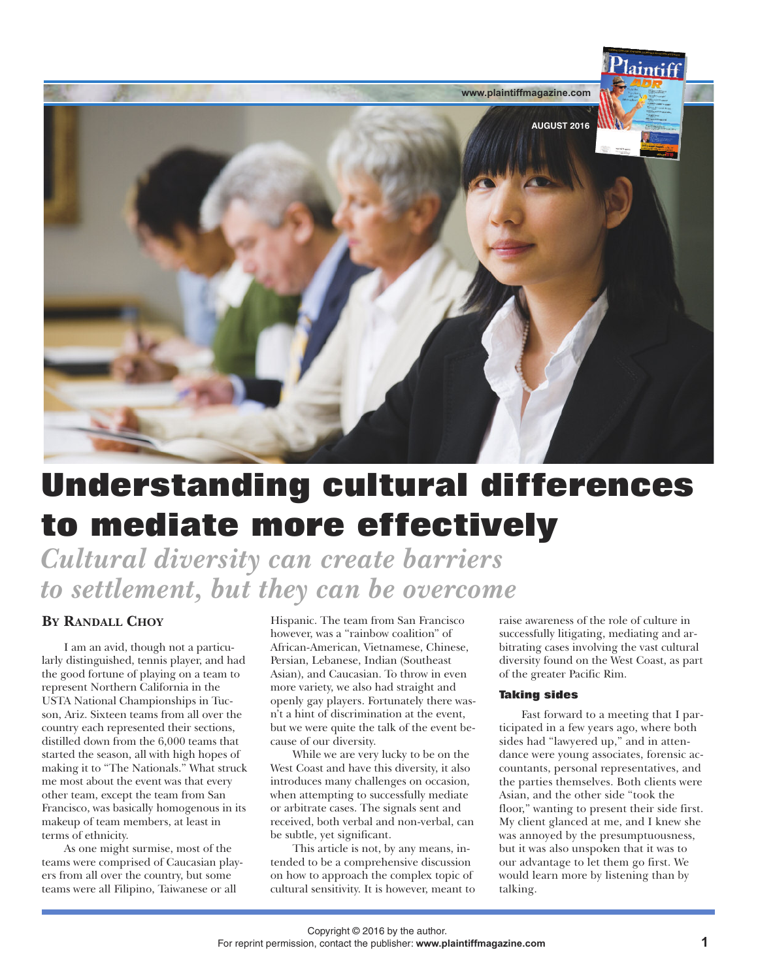

# **Understanding cultural differences to mediate more effectively**

*Cultural diversity can create barriers to settlement, but they can be overcome*

# **BY RANDALL CHOY**

I am an avid, though not a particularly distinguished, tennis player, and had the good fortune of playing on a team to represent Northern California in the USTA National Championships in Tucson, Ariz. Sixteen teams from all over the country each represented their sections, distilled down from the 6,000 teams that started the season, all with high hopes of making it to "The Nationals." What struck me most about the event was that every other team, except the team from San Francisco, was basically homogenous in its makeup of team members, at least in terms of ethnicity.

As one might surmise, most of the teams were comprised of Caucasian players from all over the country, but some teams were all Filipino, Taiwanese or all

Hispanic. The team from San Francisco however, was a "rainbow coalition" of African-American, Vietnamese, Chinese, Persian, Lebanese, Indian (Southeast Asian), and Caucasian. To throw in even more variety, we also had straight and openly gay players. Fortunately there wasn't a hint of discrimination at the event, but we were quite the talk of the event because of our diversity.

While we are very lucky to be on the West Coast and have this diversity, it also introduces many challenges on occasion, when attempting to successfully mediate or arbitrate cases. The signals sent and received, both verbal and non-verbal, can be subtle, yet significant.

This article is not, by any means, intended to be a comprehensive discussion on how to approach the complex topic of cultural sensitivity. It is however, meant to raise awareness of the role of culture in successfully litigating, mediating and arbitrating cases involving the vast cultural diversity found on the West Coast, as part of the greater Pacific Rim.

# **Taking sides**

Fast forward to a meeting that I participated in a few years ago, where both sides had "lawyered up," and in attendance were young associates, forensic accountants, personal representatives, and the parties themselves. Both clients were Asian, and the other side "took the floor," wanting to present their side first. My client glanced at me, and I knew she was annoyed by the presumptuousness, but it was also unspoken that it was to our advantage to let them go first. We would learn more by listening than by talking.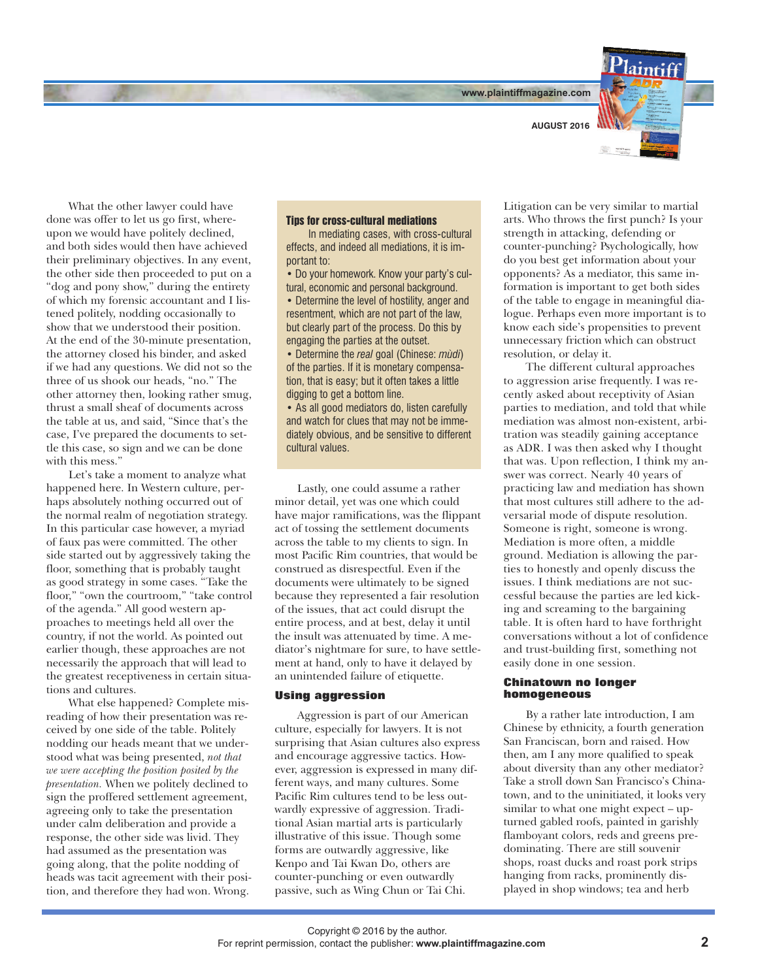**www.plaintiffmagazine.com**



What the other lawyer could have done was offer to let us go first, whereupon we would have politely declined, and both sides would then have achieved their preliminary objectives. In any event, the other side then proceeded to put on a "dog and pony show," during the entirety of which my forensic accountant and I listened politely, nodding occasionally to show that we understood their position. At the end of the 30-minute presentation, the attorney closed his binder, and asked if we had any questions. We did not so the three of us shook our heads, "no." The other attorney then, looking rather smug, thrust a small sheaf of documents across the table at us, and said, "Since that's the case, I've prepared the documents to settle this case, so sign and we can be done with this mess."

Let's take a moment to analyze what happened here. In Western culture, perhaps absolutely nothing occurred out of the normal realm of negotiation strategy. In this particular case however, a myriad of faux pas were committed. The other side started out by aggressively taking the floor, something that is probably taught as good strategy in some cases. "Take the floor," "own the courtroom," "take control of the agenda." All good western approaches to meetings held all over the country, if not the world. As pointed out earlier though, these approaches are not necessarily the approach that will lead to the greatest receptiveness in certain situations and cultures.

What else happened? Complete misreading of how their presentation was received by one side of the table. Politely nodding our heads meant that we understood what was being presented, *not that we were accepting the position posited by the presentation.* When we politely declined to sign the proffered settlement agreement, agreeing only to take the presentation under calm deliberation and provide a response, the other side was livid. They had assumed as the presentation was going along, that the polite nodding of heads was tacit agreement with their position, and therefore they had won. Wrong.

#### **Tips for cross-cultural mediations**

In mediating cases, with cross-cultural effects, and indeed all mediations, it is important to:

• Do your homework. Know your party's cultural, economic and personal background.

• Determine the level of hostility, anger and resentment, which are not part of the law, but clearly part of the process. Do this by engaging the parties at the outset.

• Determine the *real* goal (Chinese: *mùdi*) of the parties. If it is monetary compensation, that is easy; but it often takes a little digging to get a bottom line.

• As all good mediators do, listen carefully and watch for clues that may not be immediately obvious, and be sensitive to different cultural values.

Lastly, one could assume a rather minor detail, yet was one which could have major ramifications, was the flippant act of tossing the settlement documents across the table to my clients to sign. In most Pacific Rim countries, that would be construed as disrespectful. Even if the documents were ultimately to be signed because they represented a fair resolution of the issues, that act could disrupt the entire process, and at best, delay it until the insult was attenuated by time. A mediator's nightmare for sure, to have settlement at hand, only to have it delayed by an unintended failure of etiquette.

### **Using aggression**

Aggression is part of our American culture, especially for lawyers. It is not surprising that Asian cultures also express and encourage aggressive tactics. However, aggression is expressed in many different ways, and many cultures. Some Pacific Rim cultures tend to be less outwardly expressive of aggression. Traditional Asian martial arts is particularly illustrative of this issue. Though some forms are outwardly aggressive, like Kenpo and Tai Kwan Do, others are counter-punching or even outwardly passive, such as Wing Chun or Tai Chi.

Litigation can be very similar to martial arts. Who throws the first punch? Is your strength in attacking, defending or counter-punching? Psychologically, how do you best get information about your opponents? As a mediator, this same information is important to get both sides of the table to engage in meaningful dialogue. Perhaps even more important is to know each side's propensities to prevent unnecessary friction which can obstruct resolution, or delay it.

The different cultural approaches to aggression arise frequently. I was recently asked about receptivity of Asian parties to mediation, and told that while mediation was almost non-existent, arbitration was steadily gaining acceptance as ADR. I was then asked why I thought that was. Upon reflection, I think my answer was correct. Nearly 40 years of practicing law and mediation has shown that most cultures still adhere to the adversarial mode of dispute resolution. Someone is right, someone is wrong. Mediation is more often, a middle ground. Mediation is allowing the parties to honestly and openly discuss the issues. I think mediations are not successful because the parties are led kicking and screaming to the bargaining table. It is often hard to have forthright conversations without a lot of confidence and trust-building first, something not easily done in one session.

## **Chinatown no longer homogeneous**

By a rather late introduction, I am Chinese by ethnicity, a fourth generation San Franciscan, born and raised. How then, am I any more qualified to speak about diversity than any other mediator? Take a stroll down San Francisco's Chinatown, and to the uninitiated, it looks very similar to what one might expect – upturned gabled roofs, painted in garishly flamboyant colors, reds and greens predominating. There are still souvenir shops, roast ducks and roast pork strips hanging from racks, prominently displayed in shop windows; tea and herb